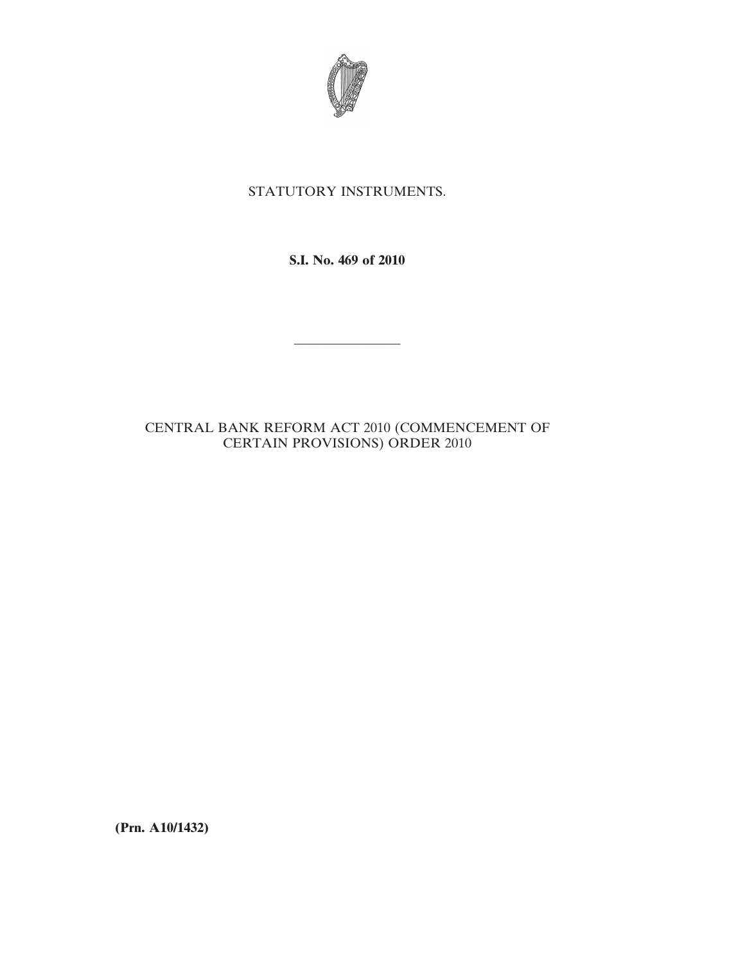

## STATUTORY INSTRUMENTS.

**S.I. No. 469 of 2010**

————————

## CENTRAL BANK REFORM ACT 2010 (COMMENCEMENT OF CERTAIN PROVISIONS) ORDER 2010

**(Prn. A10/1432)**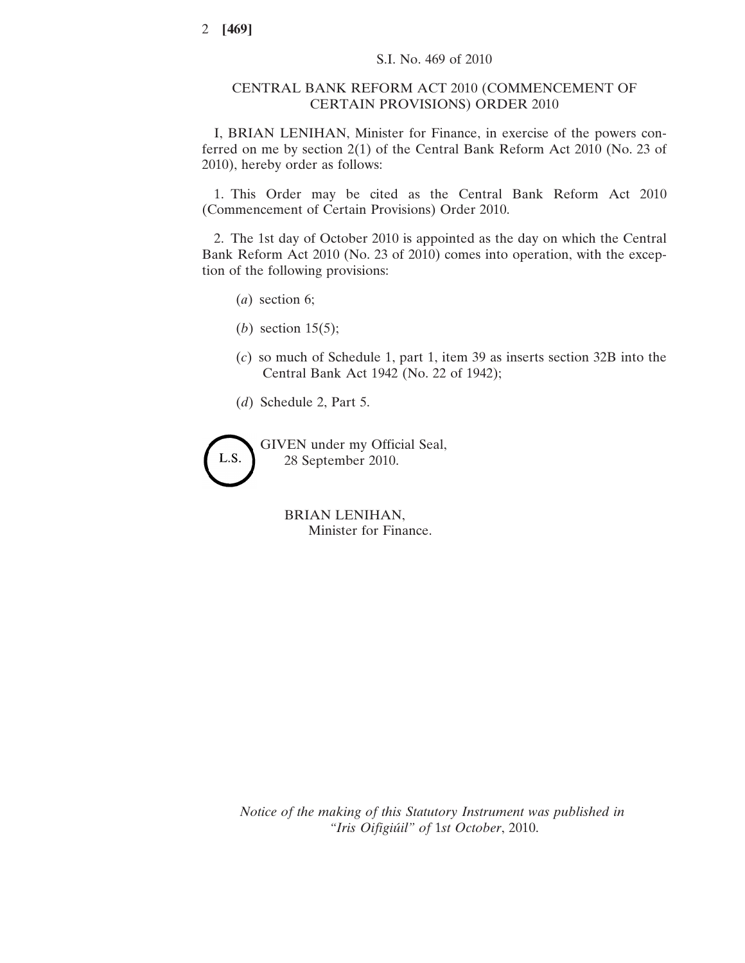## CENTRAL BANK REFORM ACT 2010 (COMMENCEMENT OF CERTAIN PROVISIONS) ORDER 2010

I, BRIAN LENIHAN, Minister for Finance, in exercise of the powers conferred on me by section 2(1) of the Central Bank Reform Act 2010 (No. 23 of 2010), hereby order as follows:

1. This Order may be cited as the Central Bank Reform Act 2010 (Commencement of Certain Provisions) Order 2010.

2. The 1st day of October 2010 is appointed as the day on which the Central Bank Reform Act 2010 (No. 23 of 2010) comes into operation, with the exception of the following provisions:

- (*a*) section 6;
- (*b*) section 15(5);
- (*c*) so much of Schedule 1, part 1, item 39 as inserts section 32B into the Central Bank Act 1942 (No. 22 of 1942);
- (*d*) Schedule 2, Part 5.

GIVEN under my Official Seal, L.S. 28 September 2010.

> BRIAN LENIHAN, Minister for Finance.

*Notice of the making of this Statutory Instrument was published in "Iris Oifigiúil" of* 1*st October*, 2010.